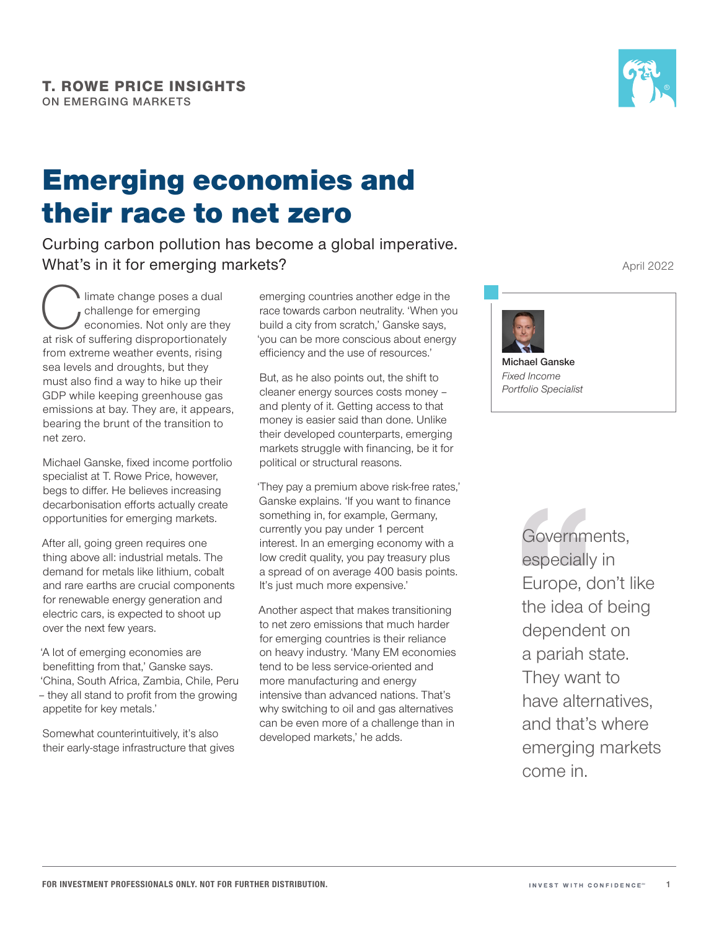

# Emerging economies and their race to net zero

Curbing carbon pollution has become a global imperative. What's in it for emerging markets?

limate change poses a dual<br>challenge for emerging<br>at risk of suffering disproportionately challenge for emerging economies. Not only are they at risk of suffering disproportionately from extreme weather events, rising sea levels and droughts, but they must also find a way to hike up their GDP while keeping greenhouse gas emissions at bay. They are, it appears, bearing the brunt of the transition to net zero.

Michael Ganske, fixed income portfolio specialist at T. Rowe Price, however, begs to differ. He believes increasing decarbonisation efforts actually create opportunities for emerging markets.

After all, going green requires one thing above all: industrial metals. The demand for metals like lithium, cobalt and rare earths are crucial components for renewable energy generation and electric cars, is expected to shoot up over the next few years.

'A lot of emerging economies are benefitting from that,' Ganske says. 'China, South Africa, Zambia, Chile, Peru – they all stand to profit from the growing appetite for key metals.'

Somewhat counterintuitively, it's also their early-stage infrastructure that gives

emerging countries another edge in the race towards carbon neutrality. 'When you build a city from scratch,' Ganske says, 'you can be more conscious about energy efficiency and the use of resources.'

But, as he also points out, the shift to cleaner energy sources costs money – and plenty of it. Getting access to that money is easier said than done. Unlike their developed counterparts, emerging markets struggle with financing, be it for political or structural reasons.

'They pay a premium above risk-free rates,' Ganske explains. 'If you want to finance something in, for example, Germany, currently you pay under 1 percent interest. In an emerging economy with a low credit quality, you pay treasury plus a spread of on average 400 basis points. It's just much more expensive.'

Another aspect that makes transitioning to net zero emissions that much harder for emerging countries is their reliance on heavy industry. 'Many EM economies tend to be less service-oriented and more manufacturing and energy intensive than advanced nations. That's why switching to oil and gas alternatives can be even more of a challenge than in developed markets,' he adds.

April 2022



*Fixed Income Portfolio Specialist* 

> Governments, especially in Europe, don't like the idea of being dependent on a pariah state. They want to have alternatives, and that's where emerging markets come in.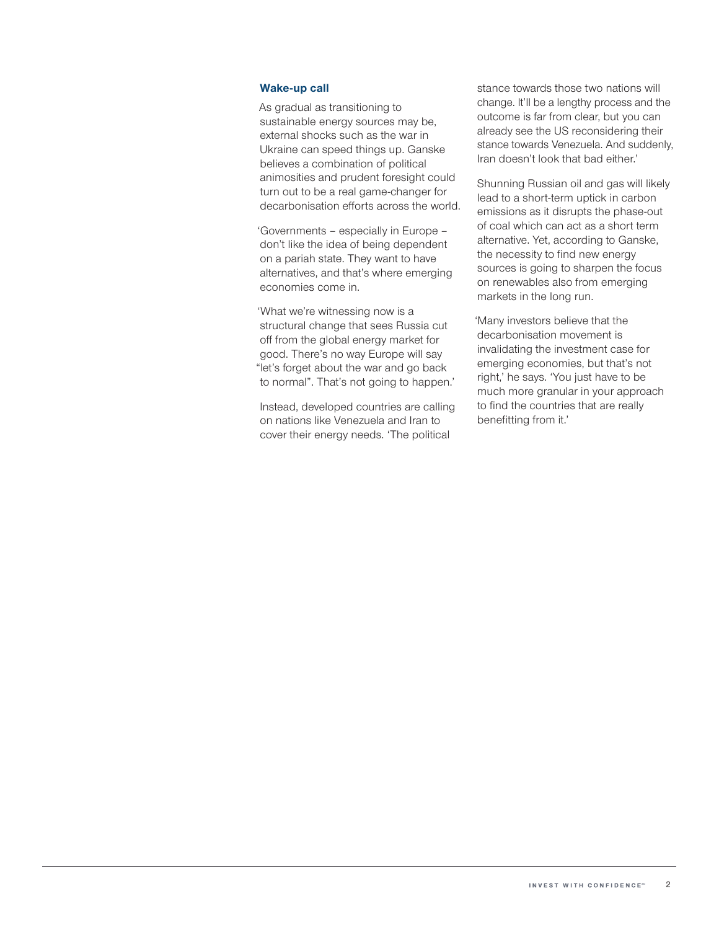#### **Wake-up call**

As gradual as transitioning to sustainable energy sources may be, external shocks such as the war in Ukraine can speed things up. Ganske believes a combination of political animosities and prudent foresight could turn out to be a real game-changer for decarbonisation efforts across the world.

'Governments – especially in Europe – don't like the idea of being dependent on a pariah state. They want to have alternatives, and that's where emerging economies come in.

'What we're witnessing now is a structural change that sees Russia cut off from the global energy market for good. There's no way Europe will say "let's forget about the war and go back to normal". That's not going to happen.'

Instead, developed countries are calling on nations like Venezuela and Iran to cover their energy needs. 'The political

stance towards those two nations will change. It'll be a lengthy process and the outcome is far from clear, but you can already see the US reconsidering their stance towards Venezuela. And suddenly, Iran doesn't look that bad either.'

Shunning Russian oil and gas will likely lead to a short-term uptick in carbon emissions as it disrupts the phase-out of coal which can act as a short term alternative. Yet, according to Ganske, the necessity to find new energy sources is going to sharpen the focus on renewables also from emerging markets in the long run.

'Many investors believe that the decarbonisation movement is invalidating the investment case for emerging economies, but that's not right,' he says. 'You just have to be much more granular in your approach to find the countries that are really benefitting from it.'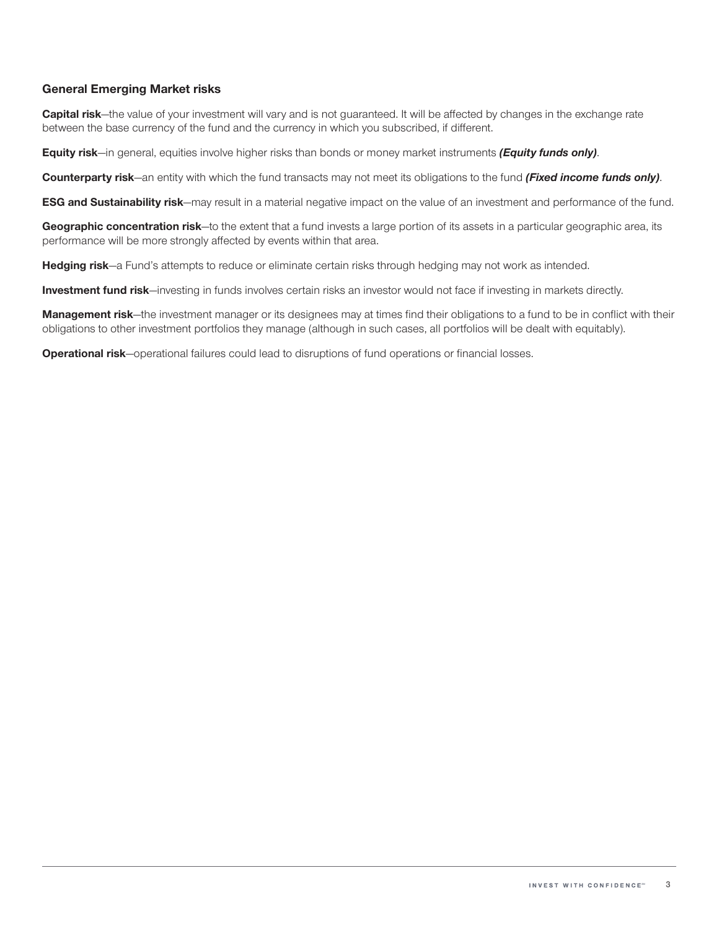### **General Emerging Market risks**

**Capital risk**—the value of your investment will vary and is not guaranteed. It will be affected by changes in the exchange rate between the base currency of the fund and the currency in which you subscribed, if different.

**Equity risk**—in general, equities involve higher risks than bonds or money market instruments *(Equity funds only)*.

**Counterparty risk**—an entity with which the fund transacts may not meet its obligations to the fund *(Fixed income funds only)*.

**ESG and Sustainability risk**—may result in a material negative impact on the value of an investment and performance of the fund.

**Geographic concentration risk**—to the extent that a fund invests a large portion of its assets in a particular geographic area, its performance will be more strongly affected by events within that area.

**Hedging risk**—a Fund's attempts to reduce or eliminate certain risks through hedging may not work as intended.

**Investment fund risk**—investing in funds involves certain risks an investor would not face if investing in markets directly.

**Management risk**—the investment manager or its designees may at times find their obligations to a fund to be in conflict with their obligations to other investment portfolios they manage (although in such cases, all portfolios will be dealt with equitably).

**Operational risk**—operational failures could lead to disruptions of fund operations or financial losses.